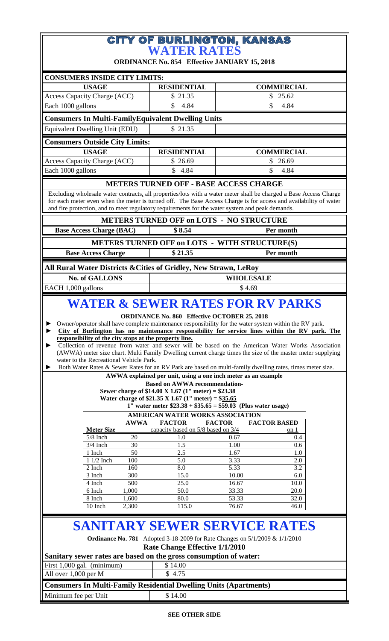## **CITY OF BURLINGTON, KANSAS**<br>WATER RATES

**ORDINANCE No. 854 Effective JANUARY 15, 2018**

| <b>CONSUMERS INSIDE CITY LIMITS:</b><br><b>USAGE</b>                                                                                                                                                                                                                                                                                                                                                                                                                                                                                                                                                                                                                                                                                                                                                                                                                                                                                                                                                                                                                                                                                                                                                                                                                                                                                                                                                                                                                                                                                                                                                                                                          |                                                                                                                  |            | <b>RESIDENTIAL</b>                                               |                  | <b>COMMERCIAL</b> |  |  |  |  |
|---------------------------------------------------------------------------------------------------------------------------------------------------------------------------------------------------------------------------------------------------------------------------------------------------------------------------------------------------------------------------------------------------------------------------------------------------------------------------------------------------------------------------------------------------------------------------------------------------------------------------------------------------------------------------------------------------------------------------------------------------------------------------------------------------------------------------------------------------------------------------------------------------------------------------------------------------------------------------------------------------------------------------------------------------------------------------------------------------------------------------------------------------------------------------------------------------------------------------------------------------------------------------------------------------------------------------------------------------------------------------------------------------------------------------------------------------------------------------------------------------------------------------------------------------------------------------------------------------------------------------------------------------------------|------------------------------------------------------------------------------------------------------------------|------------|------------------------------------------------------------------|------------------|-------------------|--|--|--|--|
| Access Capacity Charge (ACC)                                                                                                                                                                                                                                                                                                                                                                                                                                                                                                                                                                                                                                                                                                                                                                                                                                                                                                                                                                                                                                                                                                                                                                                                                                                                                                                                                                                                                                                                                                                                                                                                                                  |                                                                                                                  |            | \$21.35                                                          |                  | \$25.62           |  |  |  |  |
| Each 1000 gallons                                                                                                                                                                                                                                                                                                                                                                                                                                                                                                                                                                                                                                                                                                                                                                                                                                                                                                                                                                                                                                                                                                                                                                                                                                                                                                                                                                                                                                                                                                                                                                                                                                             |                                                                                                                  | \$<br>4.84 |                                                                  | \$<br>4.84       |                   |  |  |  |  |
| <b>Consumers In Multi-Family Equivalent Dwelling Units</b>                                                                                                                                                                                                                                                                                                                                                                                                                                                                                                                                                                                                                                                                                                                                                                                                                                                                                                                                                                                                                                                                                                                                                                                                                                                                                                                                                                                                                                                                                                                                                                                                    |                                                                                                                  |            |                                                                  |                  |                   |  |  |  |  |
| Equivalent Dwelling Unit (EDU)                                                                                                                                                                                                                                                                                                                                                                                                                                                                                                                                                                                                                                                                                                                                                                                                                                                                                                                                                                                                                                                                                                                                                                                                                                                                                                                                                                                                                                                                                                                                                                                                                                |                                                                                                                  |            | \$21.35                                                          |                  |                   |  |  |  |  |
|                                                                                                                                                                                                                                                                                                                                                                                                                                                                                                                                                                                                                                                                                                                                                                                                                                                                                                                                                                                                                                                                                                                                                                                                                                                                                                                                                                                                                                                                                                                                                                                                                                                               |                                                                                                                  |            |                                                                  |                  |                   |  |  |  |  |
| <b>Consumers Outside City Limits:</b><br><b>USAGE</b>                                                                                                                                                                                                                                                                                                                                                                                                                                                                                                                                                                                                                                                                                                                                                                                                                                                                                                                                                                                                                                                                                                                                                                                                                                                                                                                                                                                                                                                                                                                                                                                                         |                                                                                                                  |            | <b>RESIDENTIAL</b>                                               |                  | <b>COMMERCIAL</b> |  |  |  |  |
| Access Capacity Charge (ACC)                                                                                                                                                                                                                                                                                                                                                                                                                                                                                                                                                                                                                                                                                                                                                                                                                                                                                                                                                                                                                                                                                                                                                                                                                                                                                                                                                                                                                                                                                                                                                                                                                                  |                                                                                                                  |            | \$26.69                                                          | \$<br>26.69      |                   |  |  |  |  |
| Each 1000 gallons                                                                                                                                                                                                                                                                                                                                                                                                                                                                                                                                                                                                                                                                                                                                                                                                                                                                                                                                                                                                                                                                                                                                                                                                                                                                                                                                                                                                                                                                                                                                                                                                                                             |                                                                                                                  |            | \$4.84                                                           | \$<br>4.84       |                   |  |  |  |  |
| <b>METERS TURNED OFF - BASE ACCESS CHARGE</b>                                                                                                                                                                                                                                                                                                                                                                                                                                                                                                                                                                                                                                                                                                                                                                                                                                                                                                                                                                                                                                                                                                                                                                                                                                                                                                                                                                                                                                                                                                                                                                                                                 |                                                                                                                  |            |                                                                  |                  |                   |  |  |  |  |
| Excluding wholesale water contracts, all properties/lots with a water meter shall be charged a Base Access Charge                                                                                                                                                                                                                                                                                                                                                                                                                                                                                                                                                                                                                                                                                                                                                                                                                                                                                                                                                                                                                                                                                                                                                                                                                                                                                                                                                                                                                                                                                                                                             |                                                                                                                  |            |                                                                  |                  |                   |  |  |  |  |
|                                                                                                                                                                                                                                                                                                                                                                                                                                                                                                                                                                                                                                                                                                                                                                                                                                                                                                                                                                                                                                                                                                                                                                                                                                                                                                                                                                                                                                                                                                                                                                                                                                                               | for each meter even when the meter is turned off. The Base Access Charge is for access and availability of water |            |                                                                  |                  |                   |  |  |  |  |
| and fire protection, and to meet regulatory requirements for the water system and peak demands.<br><b>METERS TURNED OFF on LOTS - NO STRUCTURE</b>                                                                                                                                                                                                                                                                                                                                                                                                                                                                                                                                                                                                                                                                                                                                                                                                                                                                                                                                                                                                                                                                                                                                                                                                                                                                                                                                                                                                                                                                                                            |                                                                                                                  |            |                                                                  |                  |                   |  |  |  |  |
|                                                                                                                                                                                                                                                                                                                                                                                                                                                                                                                                                                                                                                                                                                                                                                                                                                                                                                                                                                                                                                                                                                                                                                                                                                                                                                                                                                                                                                                                                                                                                                                                                                                               |                                                                                                                  |            | \$8.54                                                           |                  | Per month         |  |  |  |  |
|                                                                                                                                                                                                                                                                                                                                                                                                                                                                                                                                                                                                                                                                                                                                                                                                                                                                                                                                                                                                                                                                                                                                                                                                                                                                                                                                                                                                                                                                                                                                                                                                                                                               | <b>Base Access Charge (BAC)</b>                                                                                  |            |                                                                  |                  |                   |  |  |  |  |
|                                                                                                                                                                                                                                                                                                                                                                                                                                                                                                                                                                                                                                                                                                                                                                                                                                                                                                                                                                                                                                                                                                                                                                                                                                                                                                                                                                                                                                                                                                                                                                                                                                                               |                                                                                                                  |            | <b>METERS TURNED OFF on LOTS - WITH STRUCTURE(S)</b>             |                  |                   |  |  |  |  |
|                                                                                                                                                                                                                                                                                                                                                                                                                                                                                                                                                                                                                                                                                                                                                                                                                                                                                                                                                                                                                                                                                                                                                                                                                                                                                                                                                                                                                                                                                                                                                                                                                                                               | <b>Base Access Charge</b>                                                                                        |            | \$21.35                                                          |                  | Per month         |  |  |  |  |
|                                                                                                                                                                                                                                                                                                                                                                                                                                                                                                                                                                                                                                                                                                                                                                                                                                                                                                                                                                                                                                                                                                                                                                                                                                                                                                                                                                                                                                                                                                                                                                                                                                                               |                                                                                                                  |            | All Rural Water Districts & Cities of Gridley, New Strawn, LeRoy |                  |                   |  |  |  |  |
|                                                                                                                                                                                                                                                                                                                                                                                                                                                                                                                                                                                                                                                                                                                                                                                                                                                                                                                                                                                                                                                                                                                                                                                                                                                                                                                                                                                                                                                                                                                                                                                                                                                               | <b>No. of GALLONS</b>                                                                                            |            |                                                                  | <b>WHOLESALE</b> |                   |  |  |  |  |
| EACH 1,000 gallons                                                                                                                                                                                                                                                                                                                                                                                                                                                                                                                                                                                                                                                                                                                                                                                                                                                                                                                                                                                                                                                                                                                                                                                                                                                                                                                                                                                                                                                                                                                                                                                                                                            |                                                                                                                  |            |                                                                  | \$4.69           |                   |  |  |  |  |
| <b>WATER &amp; SEWER RATES FOR RV PARKS</b><br><b>ORDINANCE No. 860 Effective OCTOBER 25, 2018</b><br>Owner/operator shall have complete maintenance responsibility for the water system within the RV park.<br>City of Burlington has no maintenance responsibility for service lines within the RV park. The<br>responsibility of the city stops at the property line.<br>Collection of revenue from water and sewer will be based on the American Water Works Association<br>(AWWA) meter size chart. Multi Family Dwelling current charge times the size of the master meter supplying<br>water to the Recreational Vehicle Park.<br>Both Water Rates & Sewer Rates for an RV Park are based on multi-family dwelling rates, times meter size.<br>AWWA explained per unit, using a one inch meter as an example<br><b>Based on AWWA recommendation-</b><br>Sewer charge of \$14.00 X 1.67 (1" meter) = \$23.38<br>Water charge of \$21.35 X 1.67 (1" meter) = \$35.65<br>1" water meter $$23.38 + $35.65 = $59.03$ (Plus water usage)<br>AMERICAN WATER WORKS ASSOCIATION<br><b>FACTOR</b><br><b>FACTOR</b><br><b>FACTOR BASED</b><br><b>AWWA</b><br>capacity based on 5/8 based on 3/4<br><b>Meter Size</b><br>on 1<br>$5/8$ Inch<br>20<br>1.0<br>0.67<br>0.4<br>$3/4$ Inch<br>30<br>1.5<br>1.00<br>0.6<br>1 Inch<br>50<br>2.5<br>1.67<br>1.0<br>1 1/2 Inch<br>100<br>5.0<br>3.33<br>2.0<br>2 Inch<br>5.33<br>3.2<br>160<br>8.0<br>15.0<br>3 Inch<br>300<br>10.00<br>6.0<br>4 Inch<br>500<br>25.0<br>16.67<br>10.0<br>33.33<br>6 Inch<br>1,000<br>50.0<br>20.0<br>8 Inch<br>1,600<br>80.0<br>53.33<br>32.0<br>2,300<br>115.0<br>76.67<br>46.0<br>10 Inch |                                                                                                                  |            |                                                                  |                  |                   |  |  |  |  |
|                                                                                                                                                                                                                                                                                                                                                                                                                                                                                                                                                                                                                                                                                                                                                                                                                                                                                                                                                                                                                                                                                                                                                                                                                                                                                                                                                                                                                                                                                                                                                                                                                                                               |                                                                                                                  |            |                                                                  |                  |                   |  |  |  |  |
| <b>SANITARY SEWER SERVICE RATES</b><br><b>Ordinance No. 781</b> Adopted 3-18-2009 for Rate Changes on 5/1/2009 & 1/1/2010<br>Rate Change Effective 1/1/2010<br>Sanitary sewer rates are based on the gross consumption of water:                                                                                                                                                                                                                                                                                                                                                                                                                                                                                                                                                                                                                                                                                                                                                                                                                                                                                                                                                                                                                                                                                                                                                                                                                                                                                                                                                                                                                              |                                                                                                                  |            |                                                                  |                  |                   |  |  |  |  |
| First 1,000 gal. (minimum)<br>All over 1,000 per M                                                                                                                                                                                                                                                                                                                                                                                                                                                                                                                                                                                                                                                                                                                                                                                                                                                                                                                                                                                                                                                                                                                                                                                                                                                                                                                                                                                                                                                                                                                                                                                                            |                                                                                                                  |            | \$14.00<br>\$4.75                                                |                  |                   |  |  |  |  |
| <b>Consumers In Multi-Family Residential Dwelling Units (Apartments)</b>                                                                                                                                                                                                                                                                                                                                                                                                                                                                                                                                                                                                                                                                                                                                                                                                                                                                                                                                                                                                                                                                                                                                                                                                                                                                                                                                                                                                                                                                                                                                                                                      |                                                                                                                  |            |                                                                  |                  |                   |  |  |  |  |
| Minimum fee per Unit                                                                                                                                                                                                                                                                                                                                                                                                                                                                                                                                                                                                                                                                                                                                                                                                                                                                                                                                                                                                                                                                                                                                                                                                                                                                                                                                                                                                                                                                                                                                                                                                                                          |                                                                                                                  |            | \$14.00                                                          |                  |                   |  |  |  |  |
|                                                                                                                                                                                                                                                                                                                                                                                                                                                                                                                                                                                                                                                                                                                                                                                                                                                                                                                                                                                                                                                                                                                                                                                                                                                                                                                                                                                                                                                                                                                                                                                                                                                               |                                                                                                                  |            |                                                                  |                  |                   |  |  |  |  |